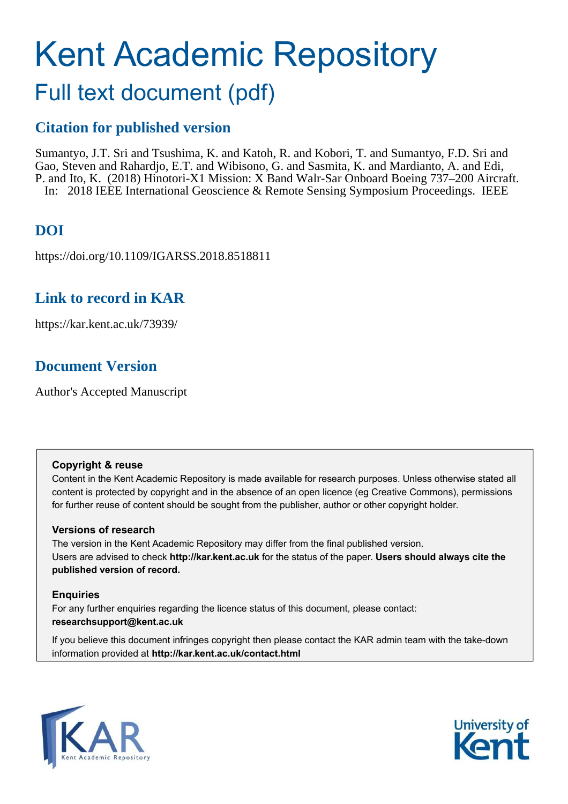# Kent Academic Repository

## Full text document (pdf)

## **Citation for published version**

Sumantyo, J.T. Sri and Tsushima, K. and Katoh, R. and Kobori, T. and Sumantyo, F.D. Sri and Gao, Steven and Rahardjo, E.T. and Wibisono, G. and Sasmita, K. and Mardianto, A. and Edi, P. and Ito, K. (2018) Hinotori-X1 Mission: X Band Walr-Sar Onboard Boeing 737–200 Aircraft. In: 2018 IEEE International Geoscience & Remote Sensing Symposium Proceedings. IEEE

## **DOI**

https://doi.org/10.1109/IGARSS.2018.8518811

### **Link to record in KAR**

https://kar.kent.ac.uk/73939/

## **Document Version**

Author's Accepted Manuscript

#### **Copyright & reuse**

Content in the Kent Academic Repository is made available for research purposes. Unless otherwise stated all content is protected by copyright and in the absence of an open licence (eg Creative Commons), permissions for further reuse of content should be sought from the publisher, author or other copyright holder.

#### **Versions of research**

The version in the Kent Academic Repository may differ from the final published version. Users are advised to check **http://kar.kent.ac.uk** for the status of the paper. **Users should always cite the published version of record.**

#### **Enquiries**

For any further enquiries regarding the licence status of this document, please contact: **researchsupport@kent.ac.uk**

If you believe this document infringes copyright then please contact the KAR admin team with the take-down information provided at **http://kar.kent.ac.uk/contact.html**



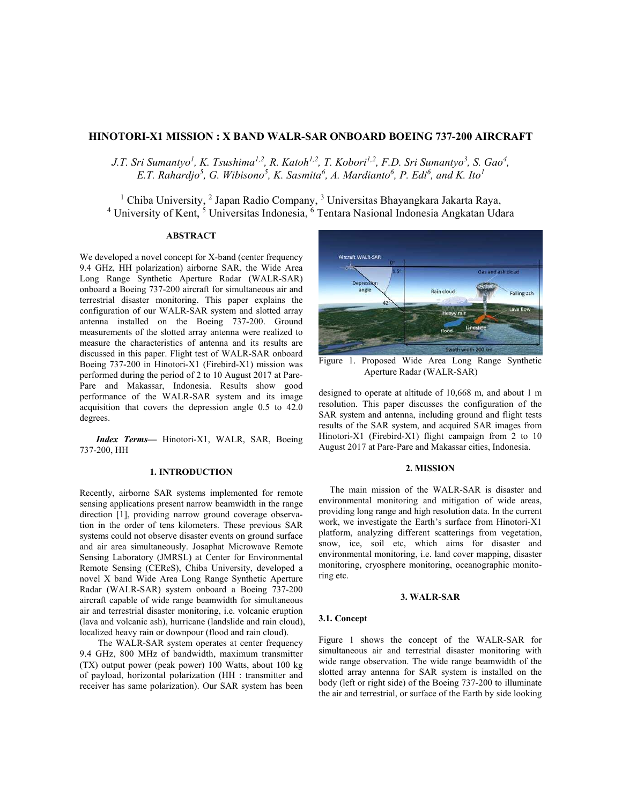#### **HINOTORI-X1 MISSION : X BAND WALR-SAR ONBOARD BOEING 737-200 AIRCRAFT**

*J.T. Sri Sumantyo<sup>1</sup>, K. Tsushima<sup>1,2</sup>, R. Katoh<sup>1,2</sup>, T. Kobori<sup>1,2</sup>, F.D. Sri Sumantyo<sup>3</sup>, S. Gao<sup>4</sup>, E.T. Rahardjo<sup>5</sup> , G. Wibisono<sup>5</sup> , K. Sasmita<sup>6</sup> , A. Mardianto<sup>6</sup> , P. Edi<sup>6</sup> , and K. Ito<sup>1</sup>*

<sup>1</sup> Chiba University, <sup>2</sup> Japan Radio Company, <sup>3</sup> Universitas Bhayangkara Jakarta Raya, <sup>4</sup> University of Kent, <sup>5</sup> Universitas Indonesia, <sup>6</sup> Tentara Nasional Indonesia Angkatan Udara

#### **ABSTRACT**

We developed a novel concept for X-band (center frequency 9.4 GHz, HH polarization) airborne SAR, the Wide Area Long Range Synthetic Aperture Radar (WALR-SAR) onboard a Boeing 737-200 aircraft for simultaneous air and terrestrial disaster monitoring. This paper explains the configuration of our WALR-SAR system and slotted array antenna installed on the Boeing 737-200. Ground measurements of the slotted array antenna were realized to measure the characteristics of antenna and its results are discussed in this paper. Flight test of WALR-SAR onboard Boeing 737-200 in Hinotori-X1 (Firebird-X1) mission was performed during the period of 2 to 10 August 2017 at Pare-Pare and Makassar, Indonesia. Results show good performance of the WALR-SAR system and its image acquisition that covers the depression angle 0.5 to 42.0 degrees.

*Index Terms—* Hinotori-X1, WALR, SAR, Boeing 737-200, HH

#### **1. INTRODUCTION**

Recently, airborne SAR systems implemented for remote sensing applications present narrow beamwidth in the range direction [1], providing narrow ground coverage observation in the order of tens kilometers. These previous SAR systems could not observe disaster events on ground surface and air area simultaneously. Josaphat Microwave Remote Sensing Laboratory (JMRSL) at Center for Environmental Remote Sensing (CEReS), Chiba University, developed a novel X band Wide Area Long Range Synthetic Aperture Radar (WALR-SAR) system onboard a Boeing 737-200 aircraft capable of wide range beamwidth for simultaneous air and terrestrial disaster monitoring, i.e. volcanic eruption (lava and volcanic ash), hurricane (landslide and rain cloud), localized heavy rain or downpour (flood and rain cloud).

The WALR-SAR system operates at center frequency 9.4 GHz, 800 MHz of bandwidth, maximum transmitter (TX) output power (peak power) 100 Watts, about 100 kg of payload, horizontal polarization (HH : transmitter and receiver has same polarization). Our SAR system has been



Figure 1. Proposed Wide Area Long Range Synthetic Aperture Radar (WALR-SAR)

designed to operate at altitude of 10,668 m, and about 1 m resolution. This paper discusses the configuration of the SAR system and antenna, including ground and flight tests results of the SAR system, and acquired SAR images from Hinotori-X1 (Firebird-X1) flight campaign from 2 to 10 August 2017 at Pare-Pare and Makassar cities, Indonesia.

#### **2. MISSION**

The main mission of the WALR-SAR is disaster and environmental monitoring and mitigation of wide areas, providing long range and high resolution data. In the current work, we investigate the Earth's surface from Hinotori-X1 platform, analyzing different scatterings from vegetation, snow, ice, soil etc, which aims for disaster and environmental monitoring, i.e. land cover mapping, disaster monitoring, cryosphere monitoring, oceanographic monitoring etc.

#### **3. WALR-SAR**

#### **3.1. Concept**

Figure 1 shows the concept of the WALR-SAR for simultaneous air and terrestrial disaster monitoring with wide range observation. The wide range beamwidth of the slotted array antenna for SAR system is installed on the body (left or right side) of the Boeing 737-200 to illuminate the air and terrestrial, or surface of the Earth by side looking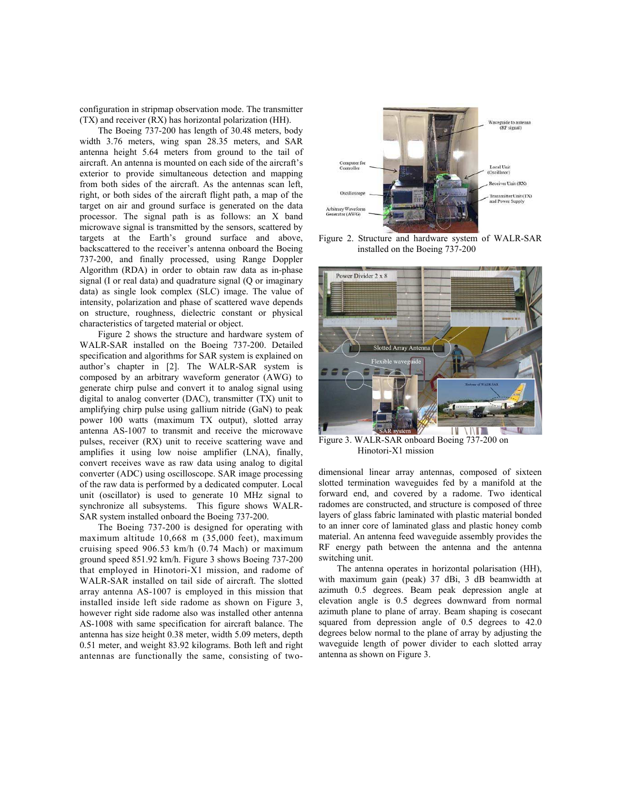configuration in stripmap observation mode. The transmitter (TX) and receiver (RX) has horizontal polarization (HH).

The Boeing 737-200 has length of 30.48 meters, body width 3.76 meters, wing span 28.35 meters, and SAR antenna height 5.64 meters from ground to the tail of aircraft. An antenna is mounted on each side of the aircraft's exterior to provide simultaneous detection and mapping from both sides of the aircraft. As the antennas scan left, right, or both sides of the aircraft flight path, a map of the target on air and ground surface is generated on the data processor. The signal path is as follows: an X band microwave signal is transmitted by the sensors, scattered by targets at the Earth's ground surface and above, backscattered to the receiver's antenna onboard the Boeing 737-200, and finally processed, using Range Doppler Algorithm (RDA) in order to obtain raw data as in-phase signal (I or real data) and quadrature signal (Q or imaginary data) as single look complex (SLC) image. The value of intensity, polarization and phase of scattered wave depends on structure, roughness, dielectric constant or physical characteristics of targeted material or object.

Figure 2 shows the structure and hardware system of WALR-SAR installed on the Boeing 737-200. Detailed specification and algorithms for SAR system is explained on author's chapter in [2]. The WALR-SAR system is composed by an arbitrary waveform generator (AWG) to generate chirp pulse and convert it to analog signal using digital to analog converter (DAC), transmitter (TX) unit to amplifying chirp pulse using gallium nitride (GaN) to peak power 100 watts (maximum TX output), slotted array antenna AS-1007 to transmit and receive the microwave pulses, receiver (RX) unit to receive scattering wave and amplifies it using low noise amplifier (LNA), finally, convert receives wave as raw data using analog to digital converter (ADC) using oscilloscope. SAR image processing of the raw data is performed by a dedicated computer. Local unit (oscillator) is used to generate 10 MHz signal to synchronize all subsystems. This figure shows WALR-SAR system installed onboard the Boeing 737-200.

The Boeing 737-200 is designed for operating with maximum altitude 10,668 m (35,000 feet), maximum cruising speed 906.53 km/h (0.74 Mach) or maximum ground speed 851.92 km/h. Figure 3 shows Boeing 737-200 that employed in Hinotori-X1 mission, and radome of WALR-SAR installed on tail side of aircraft. The slotted array antenna AS-1007 is employed in this mission that installed inside left side radome as shown on Figure 3, however right side radome also was installed other antenna AS-1008 with same specification for aircraft balance. The antenna has size height 0.38 meter, width 5.09 meters, depth 0.51 meter, and weight 83.92 kilograms. Both left and right antennas are functionally the same, consisting of two-



Figure 2. Structure and hardware system of WALR-SAR installed on the Boeing 737-200



Figure 3. WALR-SAR onboard Boeing 737-200 on Hinotori-X1 mission

dimensional linear array antennas, composed of sixteen slotted termination waveguides fed by a manifold at the forward end, and covered by a radome. Two identical radomes are constructed, and structure is composed of three layers of glass fabric laminated with plastic material bonded to an inner core of laminated glass and plastic honey comb material. An antenna feed waveguide assembly provides the RF energy path between the antenna and the antenna switching unit.

The antenna operates in horizontal polarisation (HH), with maximum gain (peak) 37 dBi, 3 dB beamwidth at azimuth 0.5 degrees. Beam peak depression angle at elevation angle is 0.5 degrees downward from normal azimuth plane to plane of array. Beam shaping is cosecant squared from depression angle of 0.5 degrees to 42.0 degrees below normal to the plane of array by adjusting the waveguide length of power divider to each slotted array antenna as shown on Figure 3.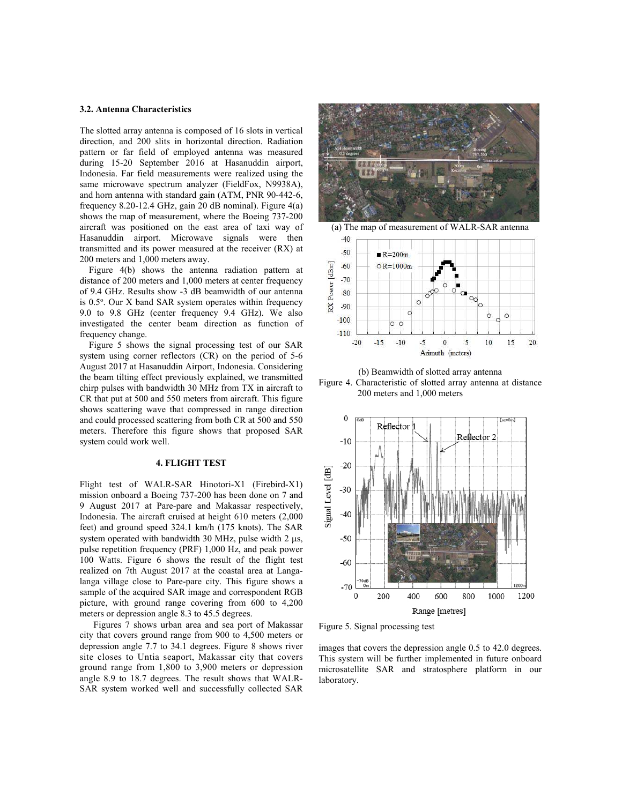#### **3.2. Antenna Characteristics**

The slotted array antenna is composed of 16 slots in vertical direction, and 200 slits in horizontal direction. Radiation pattern or far field of employed antenna was measured during 15-20 September 2016 at Hasanuddin airport, Indonesia. Far field measurements were realized using the same microwave spectrum analyzer (FieldFox, N9938A), and horn antenna with standard gain (ATM, PNR 90-442-6, frequency 8.20-12.4 GHz, gain 20 dB nominal). Figure 4(a) shows the map of measurement, where the Boeing 737-200 aircraft was positioned on the east area of taxi way of Hasanuddin airport. Microwave signals were then transmitted and its power measured at the receiver (RX) at 200 meters and 1,000 meters away.

 Figure 4(b) shows the antenna radiation pattern at distance of 200 meters and 1,000 meters at center frequency of 9.4 GHz. Results show -3 dB beamwidth of our antenna is 0.5°. Our X band SAR system operates within frequency 9.0 to 9.8 GHz (center frequency 9.4 GHz). We also investigated the center beam direction as function of frequency change.

 Figure 5 shows the signal processing test of our SAR system using corner reflectors (CR) on the period of 5-6 August 2017 at Hasanuddin Airport, Indonesia. Considering the beam tilting effect previously explained, we transmitted chirp pulses with bandwidth 30 MHz from TX in aircraft to CR that put at 500 and 550 meters from aircraft. This figure shows scattering wave that compressed in range direction and could processed scattering from both CR at 500 and 550 meters. Therefore this figure shows that proposed SAR system could work well.

#### **4. FLIGHT TEST**

Flight test of WALR-SAR Hinotori-X1 (Firebird-X1) mission onboard a Boeing 737-200 has been done on 7 and 9 August 2017 at Pare-pare and Makassar respectively, Indonesia. The aircraft cruised at height 610 meters (2,000 feet) and ground speed 324.1 km/h (175 knots). The SAR system operated with bandwidth 30 MHz, pulse width 2  $\mu$ s, pulse repetition frequency (PRF) 1,000 Hz, and peak power 100 Watts. Figure 6 shows the result of the flight test realized on 7th August 2017 at the coastal area at Langalanga village close to Pare-pare city. This figure shows a sample of the acquired SAR image and correspondent RGB picture, with ground range covering from 600 to 4,200 meters or depression angle 8.3 to 45.5 degrees.

 Figures 7 shows urban area and sea port of Makassar city that covers ground range from 900 to 4,500 meters or depression angle 7.7 to 34.1 degrees. Figure 8 shows river site closes to Untia seaport, Makassar city that covers ground range from 1,800 to 3,900 meters or depression angle 8.9 to 18.7 degrees. The result shows that WALR-SAR system worked well and successfully collected SAR





(b) Beamwidth of slotted array antenna Figure 4. Characteristic of slotted array antenna at distance 200 meters and 1,000 meters



Figure 5. Signal processing test

images that covers the depression angle 0.5 to 42.0 degrees. This system will be further implemented in future onboard microsatellite SAR and stratosphere platform in our laboratory.